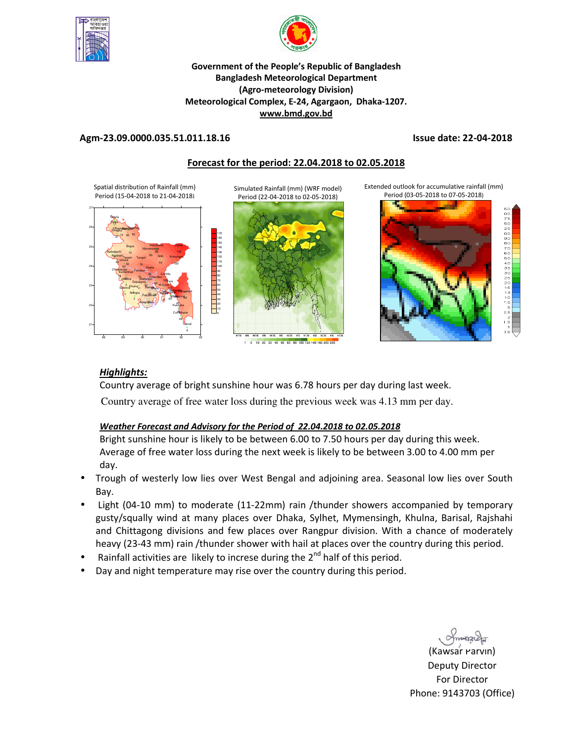



# **Government of the People's Republic of Bangladesh Bangladesh Meteorological Department (Agro-meteorology Division) Meteorological Complex, E-24, Agargaon, Dhaka-1207. www.bmd.gov.bd**

# **Agm-23.09.0000.035.51.011.18.16 Issue date: 22-04-2018**

# **Forecast for the period: 22.04.2018 to 02.05.2018**

Spatial distribution of Rainfall (mm) Period (15-04-2018 to 21-04-2018)



Simulated Rainfall (mm) (WRF model) Period (22-04-2018 to 02-05-2018)



1 5 10 20 30 40 50 60 80 100 120 140 160 200 250

Extended outlook for accumulative rainfall (mm) Period (03-05-2018 to 07-05-2018)



# *Highlights:*

Country average of bright sunshine hour was 6.78 hours per day during last week. Country average of free water loss during the previous week was 4.13 mm per day.

# *Weather Forecast and Advisory for the Period of 22.04.2018 to 02.05.2018*

Bright sunshine hour is likely to be between 6.00 to 7.50 hours per day during this week. Average of free water loss during the next week is likely to be between 3.00 to 4.00 mm per day.

- Trough of westerly low lies over West Bengal and adjoining area. Seasonal low lies over South Bay.
- Light (04-10 mm) to moderate (11-22mm) rain /thunder showers accompanied by temporary gusty/squally wind at many places over Dhaka, Sylhet, Mymensingh, Khulna, Barisal, Rajshahi and Chittagong divisions and few places over Rangpur division. With a chance of moderately heavy (23-43 mm) rain /thunder shower with hail at places over the country during this period.
- Rainfall activities are likely to increse during the  $2<sup>nd</sup>$  half of this period.
- Day and night temperature may rise over the country during this period.

(Kawsar Parvin) Deputy Director For Director Phone: 9143703 (Office)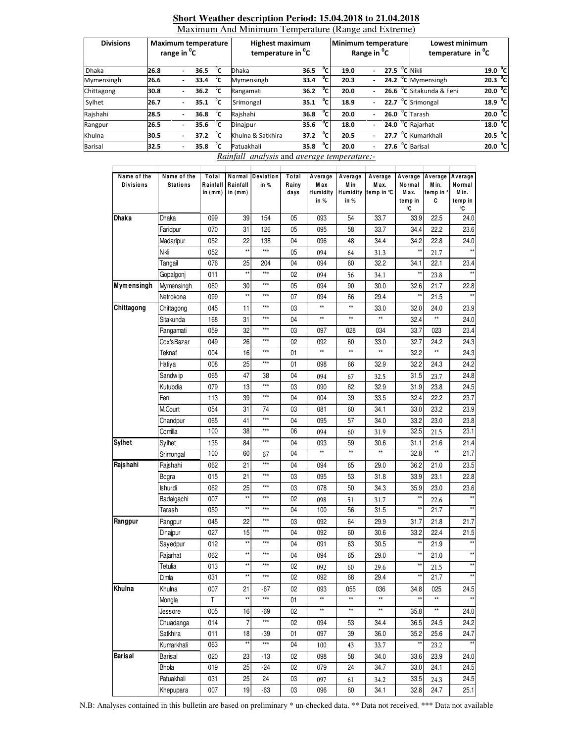| <b>Divisions</b> | Maximum temperature<br>range in <sup>o</sup> C |                          |                  |              | <b>Highest maximum</b><br>temperature in <sup>o</sup> C |      |                | Minimum temperature<br>Range in <sup>o</sup> C |  |               |  | Lowest minimum<br>temperature in <sup>o</sup> C |                     |  |
|------------------|------------------------------------------------|--------------------------|------------------|--------------|---------------------------------------------------------|------|----------------|------------------------------------------------|--|---------------|--|-------------------------------------------------|---------------------|--|
| <b>Dhaka</b>     | 26.8                                           | $\blacksquare$           | 36.5             | °c           | <b>Dhaka</b>                                            | 36.5 | °c             | 19.0                                           |  | 27.5 °C Nikli |  |                                                 | 19.0 °C             |  |
| Mymensingh       | 26.6                                           | $\overline{\phantom{0}}$ | 33.4             | °c           | Mymensingh                                              | 33.4 | $^{\circ}$ c   | 20.3                                           |  |               |  | 24.2 °C Mymensingh                              | 20.3 $^{\circ}$ C   |  |
| Chittagong       | 30.8                                           |                          | 36.2             | $^{\circ}$ c | Rangamati                                               | 36.2 | °c.            | 20.0                                           |  |               |  | 26.6 °C Sitakunda & Feni                        | 20.0 <sup>o</sup> C |  |
| Sylhet           | 26.7                                           |                          | 35.1 $\degree$ C |              | Srimongal                                               | 35.1 | °c.            | 18.9                                           |  |               |  | $\overline{22.7}$ °C Srimongal                  | 18.9 <sup>o</sup> C |  |
| Rajshahi         | 28.5                                           |                          | 36.8             | $^{\circ}$ c | Rajshahi                                                | 36.8 | °c             | 20.0                                           |  |               |  | 26.0 °C Tarash                                  | 20.0 °C             |  |
| Rangpur          | 26.5                                           | $\overline{\phantom{a}}$ | 35.6             | $^{\circ}$ c | Dinajpur                                                | 35.6 | $\overline{c}$ | 18.0                                           |  |               |  | $24.0 °C$ Rajarhat                              | 18.0 °C             |  |
| Khulna           | 30.5                                           | $\overline{\phantom{0}}$ | 37.2             | °⊂           | Khulna & Satkhira                                       | 37.2 | °c             | 20.5                                           |  |               |  | 27.7 °C Kumarkhali                              | 20.5 <sup>o</sup> C |  |
| <b>Barisal</b>   | 32.5                                           | $\overline{\phantom{a}}$ | 35.8             | °c           | Patuakhali                                              | 35.8 | °c             | 20.0                                           |  |               |  | 27.6 °C Barisal                                 | 20.0 °C             |  |

### **Short Weather description Period: 15.04.2018 to 21.04.2018**  Maximum And Minimum Temperature (Range and Extreme)

*Rainfall analysis* and *average temperature:-*

| Name of the<br><b>Divisions</b> | Name of the<br><b>Stations</b> | Total<br>in (mm) | Rainfall Rainfall<br>in $(mm)$ | Normal Deviation<br>in % | Total<br>Rainy<br>days | Average<br>M a x<br>Humidity | Average<br>M in<br>Humidity | Average<br>Max.<br>temp in °C | Normal<br>M ax.      | Average Average<br>M in.<br>temp in ' | Average<br>Normal<br>Min. |
|---------------------------------|--------------------------------|------------------|--------------------------------|--------------------------|------------------------|------------------------------|-----------------------------|-------------------------------|----------------------|---------------------------------------|---------------------------|
|                                 |                                |                  |                                |                          |                        | in %                         | in %                        |                               | temp in<br>°C        | c                                     | temp in<br>۰C             |
| Dhaka                           | <b>Dhaka</b>                   | 099              | 39                             | 154                      | 05                     | 093                          | 54                          | 33.7                          | 33.9                 | 22.5                                  | 24.0                      |
|                                 | Faridpur                       | 070              | 31                             | 126                      | 05                     | 095                          | 58                          | 33.7                          | 34.4                 | 22.2                                  | 23.6                      |
|                                 | Madaripur                      | 052              | 22                             | 138                      | 04                     | 096                          | 48                          | 34.4                          | 34.2                 | 22.8                                  | 24.0                      |
|                                 | Nikli                          | 052              | $\star\star$                   | ***                      | 05                     | 094                          | 64                          | 31.3                          | $\star\star$         | 21.7                                  | $\star\star$              |
|                                 | Tangail                        | 076              | 25                             | 204                      | 04                     | 094                          | 60                          | 32.2                          | 34.1                 | 22.1                                  | 23.4                      |
|                                 | Gopalgonj                      | 011              | $\star\star$                   | $***$                    | 02                     | 094                          | 56                          | 34.1                          | $\star\star$         | 23.8                                  | $\star\star$              |
| Mymensingh                      | Mymensingh                     | 060              | 30                             | $***$                    | 05                     | 094                          | 90                          | 30.0                          | 32.6                 | 21.7                                  | 22.8                      |
|                                 | Netrokona                      | 099              | $\star\star$                   | $***$                    | 07                     | 094                          | 66                          | 29.4                          | $\star\star$         | 21.5                                  | $\star\star$              |
| Chittagong                      | Chittagong                     | 045              | 11                             | $***$                    | 03                     | **                           | $\star\star$                | 33.0                          | 32.0                 | 24.0                                  | 23.9                      |
|                                 | Sitakunda                      | 168              | 31                             | $***$                    | 04                     | $\star\star$                 | $\star\star$                | **                            | 32.4                 | $\star\star$                          | 24.0                      |
|                                 | Rangamati                      | 059              | 32                             | $***$                    | 03                     | 097                          | 028                         | 034                           | 33.7                 | 023                                   | 23.4                      |
|                                 | Cox'sBazar                     | 049              | 26                             | $***$                    | 02                     | 092                          | 60                          | 33.0                          | 32.7                 | 24.2                                  | 24.3                      |
|                                 | Teknaf                         | 004              | 16                             | $***$                    | 01                     | $\star\star$                 | $\star\star$                | **                            | 32.2                 | $^{\star\star}$                       | 24.3                      |
|                                 | Hatiya                         | 008              | 25                             | ***                      | 01                     | 098                          | 66                          | 32.9                          | 32.2                 | 24.3                                  | 24.2                      |
|                                 | Sandw ip                       | 065              | 47                             | 38                       | 04                     | 094                          | 67                          | 32.5                          | 31.5                 | 23.7                                  | 24.8                      |
|                                 | Kutubdia                       | 079              | 13                             | $***$                    | 03                     | 090                          | 62                          | 32.9                          | 31.9                 | 23.8                                  | 24.5                      |
|                                 | Feni                           | 113              | 39                             | ***                      | 04                     | 004                          | 39                          | 33.5                          | 32.4                 | 22.2                                  | 23.7                      |
|                                 | M.Court                        | 054              | 31                             | 74                       | 03                     | 081                          | 60                          | 34.1                          | 33.0                 | 23.2                                  | 23.9                      |
|                                 | Chandpur                       | 065              | 41                             | $***$                    | 04                     | 095                          | 57                          | 34.0                          | 33.2                 | 23.0                                  | 23.8                      |
|                                 | Comilla                        | 100              | 38                             | $***$                    | 06                     | 094                          | 60                          | 31.9                          | 32.5                 | 21.5                                  | 23.1                      |
| <b>Sylhet</b>                   | Sylhet                         | 135              | 84                             | $***$                    | 04                     | 093                          | 59                          | 30.6                          | 31.1                 | 21.6                                  | 21.4                      |
|                                 | Srimongal                      | 100              | 60                             | 67                       | 04                     | **                           | **                          | **                            | 32.8                 | **                                    | 21.7                      |
| Rajshahi                        | Rajshahi                       | 062              | 21                             | $***$                    | 04                     | 094                          | 65                          | 29.0                          | 36.2                 | 21.0                                  | 23.5                      |
|                                 | Bogra                          | 015              | 21                             | $***$                    | 03                     | 095                          | 53                          | 31.8                          | 33.9                 | 23.1                                  | 22.8                      |
|                                 | Ishurdi                        | 062              | 25                             | $***$                    | 03                     | 078                          | 50                          | 34.3                          | 35.9                 | 23.0                                  | 23.6                      |
|                                 | Badalgachi                     | 007              | $\star\star$                   | $***$                    | 02                     | 098                          | 51                          | 31.7                          | **                   | 22.6                                  |                           |
|                                 | Tarash                         | 050              | $\star\star$                   | $***$                    | 04                     | 100                          | 56                          | 31.5                          | **                   | 21.7                                  |                           |
| Rangpur                         | Rangpur                        | 045              | 22                             | $***$                    | 03                     | 092                          | 64                          | 29.9                          | 31.7                 | 21.8                                  | 21.7                      |
|                                 | Dinajpur                       | 027              | 15                             | $***$                    | 04                     | 092                          | 60                          | 30.6                          | 33.2                 | 22.4                                  | 21.5                      |
|                                 | Sayedpur                       | 012              | $\star\star$                   | $***$                    | 04                     | 091                          | 63                          | 30.5                          | $\star\star$         | 21.9                                  |                           |
|                                 | Rajarhat                       | 062              | $\star\star$                   | $***$                    | 04                     | 094                          | 65                          | 29.0                          | **                   | 21.0                                  |                           |
|                                 | Tetulia                        | 013              | $\star\star$                   | $***$                    | 02                     | 092                          | 60                          | 29.6                          | $\star\star$         | 21.5                                  | $\star\star$              |
|                                 | Dimla                          | 031              | $\star\star$                   | $***$                    | 02                     | 092                          | 68                          | 29.4                          | $\star\star$         | 21.7                                  | $\star\star$              |
| Khulna                          | Khulna                         | 007              | 21                             | $-67$                    | 02                     | 093                          | 055                         | 036                           | 34.8                 | 025                                   | 24.5                      |
|                                 | Mongla                         | T.               | $\star\star$                   | ***                      | 01                     | **                           | $\star\star$                | $\star\star$                  | $\star\star$         | $^{\star\star}$                       | $\star\star$              |
|                                 | Jessore                        | 005              | 16                             | -69                      | 02                     | $^{\star\star}$              | $^{\star\star}$             | $^{\star\star}$               | 35.8                 | $\star\star$                          | 24.0                      |
|                                 | Chuadanga                      | 014              | 7                              | ***                      | 02                     | 094                          | 53                          | 34.4                          | 36.5                 | 24.5                                  | 24.2                      |
|                                 | Satkhira                       | 011              | 18<br>**                       | -39                      | 01                     | 097                          | 39                          | 36.0                          | 35.2<br>$\star\star$ | 25.6                                  | 24.7<br>$\star\star$      |
|                                 | Kumarkhali                     | 063              |                                | ***                      | 04                     | 100                          | 43                          | 33.7                          |                      | 23.2                                  |                           |
| Barisal                         | Barisal                        | 020              | 23                             | -13                      | 02                     | 098                          | 58                          | 34.0                          | 33.6                 | 23.9                                  | 24.0                      |
|                                 | Bhola                          | 019              | 25                             | $-24$                    | 02                     | 079                          | 24                          | 34.7                          | 33.0                 | 24.1                                  | 24.5                      |
|                                 | Patuakhali                     | 031              | 25                             | 24                       | 03                     | 097                          | 61                          | 34.2                          | 33.5                 | 24.3                                  | 24.5                      |
|                                 | Khepupara                      | 007              | 19                             | $-63$                    | 03                     | 096                          | 60                          | 34.1                          | 32.8                 | 24.7                                  | 25.1                      |

N.B: Analyses contained in this bulletin are based on preliminary \* un-checked data. \*\* Data not received. \*\*\* Data not available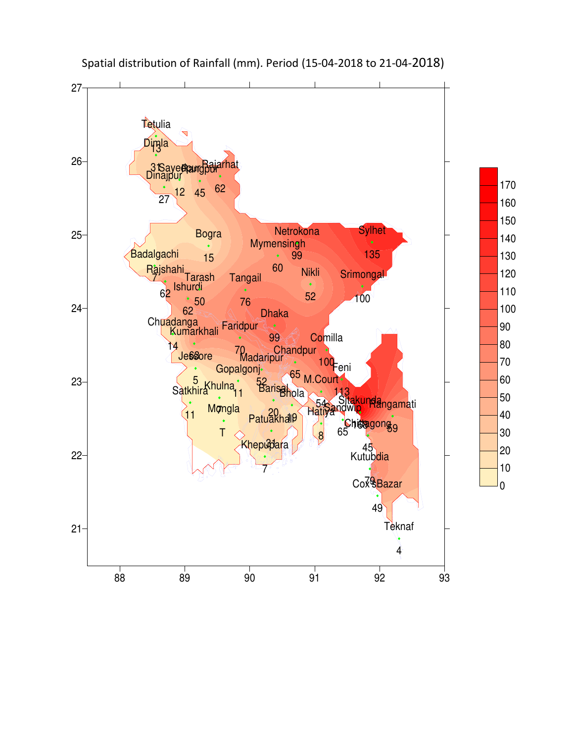

Spatial distribution of Rainfall (mm). Period (15-04-2018 to 21-04-2018)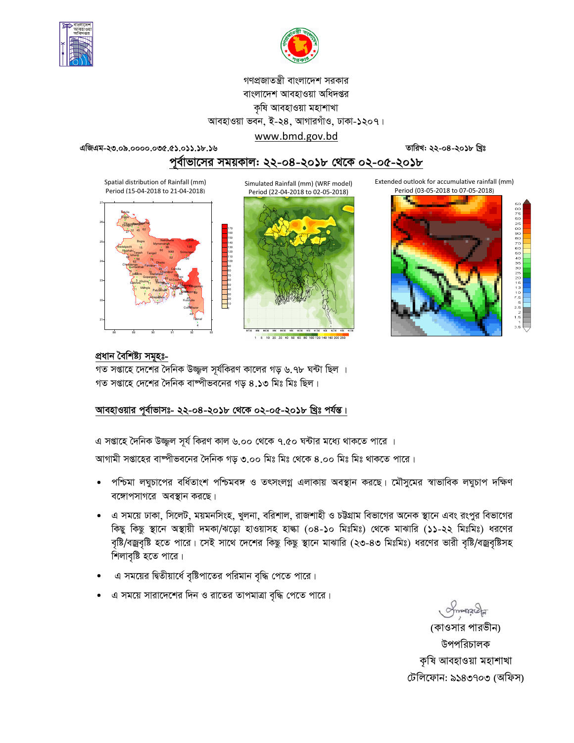



# গণপ্রজাতন্ত্রী বাংলাদেশ সরকার বাংলাদেশ আবহাওয়া অধিদপ্তর কৃষি আবহাওয়া মহাশাখা আবহাওয়া ভবন, ই-২৪, আগারগাঁও, ঢাকা-১২০৭। www.bmd.gov.bd

**GwRGg-23.09.0000.035.51.011.18.16 ZvwiL: 22-04-2018 wLªt**

পূর্বাভাসের সময়কাল: ২২-০৪-২০**১৮ থেকে ০২-০৫-২০১৮** 

Spatial distribution of Rainfall (mm) Period (15-04-2018 to 21-04-2018)



Simulated Rainfall (mm) (WRF model) Period (22-04-2018 to 02-05-2018)



Extended outlook for accumulative rainfall (mm) Period (03-05-2018 to 07-05-2018)



# প্ৰধান বৈশিষ্ট্য সমূহঃ-

গত সপ্তাহে দেশের দৈনিক উজ্জ্বল সূর্যকিরণ কালের গড় ৬.৭৮ ঘন্টা ছিল । গত সপ্তাহে দেশের দৈনিক বাষ্পীভবনের গড় ৪.**১**৩ মিঃ মিঃ ছিল।

# আবহাওয়ার পূর্বাভাসঃ- ২২-০৪-২০**১৮ থেকে ০২-০৫-২০১৮ খ্রিঃ পর্যন্ত**।

এ সপ্তাহে দৈনিক উজ্জ্বল সূর্য কিরণ কাল ৬.০০ থেকে ৭.৫০ ঘন্টার মধ্যে থাকতে পারে ।

আগামী সপ্তাহের বাষ্পীভবনের দৈনিক গড় ৩.০০ মিঃ মিঃ থেকে ৪.০০ মিঃ মিঃ থাকতে পারে।

- পশ্চিমা লঘুচাপের বর্ধিতাংশ পশ্চিমবঙ্গ ও তৎসংলগ্ন এলাকায় অবস্থান করছে। মৌসুমের স্বাভাবিক লঘুচাপ দক্ষিণ বঙ্গোপসাগরে অবস্থান করছে।
- এ সময়ে ঢাকা, সিলেট, ময়মনসিংহ, খুলনা, বরিশাল, রাজশাহী ও চউগ্রাম বিভাগের অনেক স্থানে এবং রংপুর বিভাগের কিছু কিছু স্থানে অস্থায়ী দমকা/ঝড়ো হাওয়াসহ হাল্কা (০৪-১০ মিঃমিঃ) থেকে মাঝারি (১১-২২ মিঃমিঃ) ধরণের বৃষ্টি/বজ্রবৃষ্টি হতে পারে। সেই সাথে দেশের কিছু কিছু স্থানে মাঝারি (২৩-৪৩ মিঃমিঃ) ধরণের ভারী বৃষ্টি/বজ্রবৃষ্টিসহ শিলাবৃষ্টি হতে পারে।
- এ সময়ের দ্বিতীয়ার্ধে বৃষ্টিপাতের পরিমান বৃদ্ধি পেতে পারে।
- এ সময়ে সারাদেশের দিন ও রাতের তাপমাত্রা বৃদ্ধি পেতে পারে।

(কাওসার পারভীন) উপপরিচালক কৃষি আবহাওয়া মহাশাখা টেলিফোন: ৯১৪৩৭০৩ (অফিস)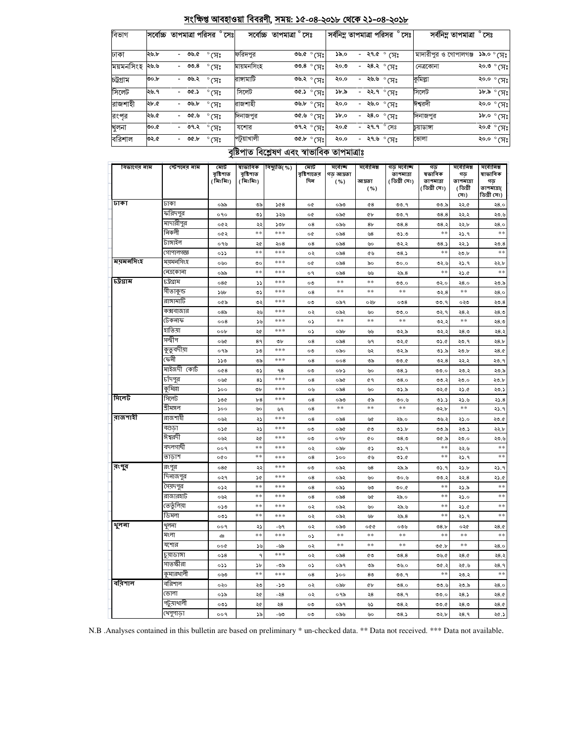| খুলনা       | ৩০.৫ | - ৩৭.২              | $^\circ$ (সঃ                 | যশোর                             |                                             | ত৭.২ ° সেঃ                     | ২০.৫                          | - ২৭.৭ ° সেঃ                 |                                            | চয়াডাঙ্গা                                |                                                   | <sup>২০.৫</sup> ° সেঃ                                     |
|-------------|------|---------------------|------------------------------|----------------------------------|---------------------------------------------|--------------------------------|-------------------------------|------------------------------|--------------------------------------------|-------------------------------------------|---------------------------------------------------|-----------------------------------------------------------|
| বরিশাল      | ৩২.৫ | 00.5                | $^\circ$ সেঃ                 | পটুয়াখালী                       |                                             | $\sqrt[3]{7}$ of $\sqrt[3]{2}$ | ২০.০                          | <u>- ২৭.৬</u> ° সেঃ          |                                            | ভোলা                                      |                                                   | <sup>२०.०</sup> ° (प्रः                                   |
|             |      |                     |                              |                                  | বৃষ্টিপাত বিশ্লেষণ এবং স্বাভাবিক তাপমাত্ৰাঃ |                                |                               |                              |                                            |                                           |                                                   |                                                           |
| বিভাগের নাম |      | স্টেশনের নাম        | মোট<br>বৃষ্টিশাত<br>(মিঃমিঃ) | ষাভাবিক<br>বৃষ্টিশাত<br>(মিঃমিঃ) | বিছ্যুতি( %)                                | মোট<br>বৃষ্টিশাতের<br>দিন      | সৰ্বোচ্ছ<br>গড আদ্রতা<br>( %) | সৰ্বোনিম্ন<br>আদ্ৰতা<br>( %) | গড় সৰ্বোচ্ছ<br>তাপমাত্রা<br>( ডিগ্ৰী সেঃ) | গড<br>ষভাবিক<br>তাপমাত্রা<br>(ডিগ্ৰী সেঃ) | সৰ্বোনিম্ন<br>গড়<br>তাপমাত্রা<br>(ডিগ্ৰী<br>সেঃ) | সৰ্বোনিম্ন<br>ষাভাবিক<br>গড়<br>তাপমাত্রা(<br>ডিগ্ৰী সেঃ) |
| ঢাকা        |      | ঢাকা                | ০৯৯                          | ৩৯                               | 568                                         | o¢                             | ০৯৩                           | $^{68}$                      | ৩৩.৭                                       | ৩৩.৯                                      | ২২.৫                                              | ২8.०                                                      |
|             |      | ফরিদপুর             | ०१०                          | ৩১                               | ১২৬                                         | o¢                             | ০৯৫                           | ¢Ъ                           | ৩৩.৭                                       | 08.8                                      | ২২.২                                              | ২৩.৬                                                      |
|             |      | মাদারীপুর           | ০৫২                          | ২২                               | ১৩৮                                         | 08                             | ০৯৬                           | 8 <sub>b</sub>               | 08.8                                       | 08.3                                      | ২২.৮                                              | ২8.०                                                      |
|             |      | নিকলী               | ০৫২                          | **                               | ***                                         | o¢                             | ০৯৪                           | ৬৪                           | ৩১.৩                                       | $**$                                      | ২১.৭                                              | $**$                                                      |
|             |      | টাঙ্গাইল            | ०१७                          | ২৫                               | ২০৪                                         | 08                             | ০৯৪                           | ৬০                           | ৩২.২                                       | 08.5                                      | ২২.১                                              | ২৩.৪                                                      |
|             |      | গোপালগজ্ঞ           | ০১১                          | **                               | ***                                         | ০২                             | ০৯৪                           | ৫৬                           | 08.5                                       | **                                        | ২৩.৮                                              | $\ast\ast$                                                |
| মিয়মনসিংহ  |      | ময়মনসিংহ           | ০৬০                          | ৩০                               | ***                                         | o¢                             | ০৯৪                           | ৯০                           | 0.00                                       | ৩২.৬                                      | ২১.৭                                              | ২২.৮                                                      |
|             |      | নেত্ৰকোনা           | ০৯৯                          | $**$                             | ***                                         | ०१                             | ০৯৪                           | طاطا                         | 25.8                                       | $**$                                      | ২১.৫                                              | $**$                                                      |
| চট্টগ্রাম   |      | ঢট্টগ্ৰাম           | 08Q                          | دد                               | ***                                         | ০৩                             | $**$                          | $\ast\ast$                   | ৩৩.০                                       | ৩২.০                                      | ২8.०                                              | ২৩.৯                                                      |
|             |      | সীতাকুন্ড           | ১৬৮                          | ৩১                               | ***                                         | 08                             | $**$                          | $**$                         | $**$                                       | ৩২. $8$                                   | $***$                                             | ২8.०                                                      |
|             |      | রাঙ্গামার্টি        | ০৫৯                          | ৩২                               | ***                                         | ০৩                             | ০৯৭                           | ০২৮                          | 008                                        | ৩৩.৭                                      | ০২৩                                               | ২৩.৪                                                      |
|             |      | কক্সবাজার           | ০৪৯                          | ২৬                               | ***                                         | ০২                             | ০৯২                           | ৬০                           | ৩৩.০                                       | ৩২.৭                                      | ২৪.২                                              | ২৪.৩                                                      |
|             |      | টেকনাফ              | 008                          | ১৬                               | ***                                         | ০১                             | $**$                          | **                           | $* *$                                      | ৩২.২                                      | **                                                | ২৪.৩                                                      |
|             |      | হাতিয়া             | 00 <sub>b</sub>              | ২৫                               | ***                                         | ০১                             | ০৯৮                           | طاطا                         | ৩২.৯                                       | ৩২.২                                      | ২৪.৩                                              | ২৪.২                                                      |
|             |      | সন্দ্বীপ            | ০৬৫                          | 89                               | ৩৮                                          | 08                             | ০৯৪                           | ৬৭                           | ৩২.৫                                       | 05.6                                      | ২৩.৭                                              | ২8.৮                                                      |
|             |      | কুতুবদীয়া          | ০৭৯                          | ১৩                               | ***                                         | ০৩                             | ০৯০                           | ৬২                           | ৩২.৯                                       | ৩১.৯                                      | ২৩.৮                                              | 28.0                                                      |
|             |      | কেনী                | ১১৩                          | ৩৯                               | ***                                         | 08                             | 008                           | ৩৯                           | ৩৩.৫                                       | ৩২. $8$                                   | ২২.২                                              | ২৩.৭                                                      |
|             |      | মাইজদী কোট          | 0@8                          | ৩১                               | ۹8                                          | ০৩                             | ০৮১                           | ৬০                           | 08.5                                       | 0.0                                       | ২৩.২                                              | ২৩.৯                                                      |
|             |      | চাঁদপুর<br>কৃমিল্লা | ০৬৫                          | 85                               | ***<br>***                                  | 08                             | ০৯৫                           | ¢۹                           | 08.0                                       | 00.3                                      | ২৩.০                                              | ২৩.৮                                                      |
| সিলেট       |      | সিলেট               | 500                          | ৩৮                               | ***                                         | ০৬                             | ০৯৪                           | ৬০                           | ৩১.৯                                       | ৩২.৫                                      | ২১.৫                                              | ২৩.১                                                      |
|             |      | শ্ৰীমঙ্গল           | ১৩৫<br>500                   | b8                               |                                             | 08                             | ০৯৩<br>**                     | ৫৯<br>**                     | ৩০.৬<br>$* *$                              | ৩১.১                                      | ২১.৬<br>**                                        | ২১.৪<br>২১.৭                                              |
| ৰাজশায়ী    |      | রাজশাইী             | ০৬২                          | ৬০                               | ৬৭<br>***                                   | 08                             | ০৯৪                           | ৬৫                           |                                            | ৩২.৮<br>৩৬.২                              |                                                   |                                                           |
|             |      | বগুডা               | ०১৫                          | ২১<br>২১                         | ***                                         | 08<br>০৩                       | ০৯৫                           | ৫৩                           | ২৯.০<br>৩১.৮                               | ৩৩.৯                                      | ২১.০<br>২৩.১                                      | ২৩.৫<br>২২.৮                                              |
|             |      | ঈশ্বরদী             | ০৬২                          | ২৫                               | ***                                         | ০৩                             | ०१৮                           | 6o                           | ৩৪.৩                                       | ৩৫.৯                                      | ২৩.০                                              | ২৩.৬                                                      |
|             |      | বদলগান্ঠী           | ००१                          | **                               | ***                                         | ০২                             | ০৯৮                           | ৫১                           | ৩১.৭                                       | $**$                                      | ২২.৬                                              | $**$                                                      |
|             |      | তাডাশ               | 000                          | **                               | ***                                         | 08                             | 500                           | ৫৬                           | 0.6                                        | $**$                                      | ২১.৭                                              | $**$                                                      |
| রংপুব       |      | রংপুর               | 08Q                          | ২২                               | ***                                         | ০৩                             | ০৯২                           | ৬৪                           | ২৯.৯                                       | ৩১.৭                                      | ২১.৮                                              | ২১.৭                                                      |
|             |      | দিনাজপুর            | ०२१                          | ۵¢                               | ***                                         | 08                             | ০৯২                           | ৬০                           | ৩০.৬                                       | 00.3                                      | ২২.৪                                              | ২১.৫                                                      |
|             |      | সেয়দপুর            | ০১২                          | **                               | ***                                         | 08                             | ০৯১                           | ৬৩                           | ৩০.৫                                       | $**$                                      | ২১.৯                                              | $**$                                                      |
|             |      | রাজারহাট            | ০৬২                          | $***$                            | ***                                         | $^{\circ8}$                    | ০৯৪                           | ৬৫                           | ২৯.০                                       | $**$                                      | ২১.০                                              | $***$                                                     |
|             |      | তেতুলিয়া           | ০১৩                          | $***$                            | ***                                         | ০২                             | ০৯২                           | ৬০                           | ২৯.৬                                       | $**$                                      | ২১.৫                                              | $***$                                                     |
|             |      | ডিমলা               | ০৩১                          | **                               | ***                                         | ০২                             | ০৯২                           | ৬৮                           | 25.8                                       | $**$                                      | ২১.৭                                              | $**$                                                      |
| থুলনা       |      | থুলনা               | ००१                          | ২১                               | -৬৭                                         | ০২                             | ০৯৩                           | oQQ                          | ০৩৬                                        | 08.b                                      | ০২৫                                               | 28.0                                                      |
|             |      | মংলা                | ঞ                            | **                               | ***                                         | ০১                             | $**$                          | $\ast\ast$                   | $\ast\ast$                                 | $**$                                      | $* *$                                             | $**$                                                      |
|             |      | যশোর                | ००৫                          | ১৬                               | -৬৯                                         | ০২                             | $**$                          | **                           | **                                         | ৩৫.৮                                      | $\ast\ast$                                        | ২8.०                                                      |
|             |      | চুয়াডাঙ্গা         | 058                          | ٩                                | ***                                         | ০২                             | ০৯৪                           | ৫৩                           | 08.8                                       | ৩৬.৫                                      | ২৪.৫                                              | ২৪.২                                                      |
|             |      | সাতস্কীরা           | ০১১                          | ১৮                               | -৩৯                                         | ০১                             | ০৯৭                           | ৩৯                           | ৩৬.০                                       | 00.5                                      | ২৫.৬                                              | ২8.৭                                                      |
|             |      | কুমারথালী           | ০৬৩                          | **                               | ***                                         | 08                             | ১০০                           | 8 <sub>0</sub>               | ৩৩.৭                                       | $**$                                      | ২৩.২                                              | **                                                        |
| ববিশাল      |      | বারশাল              | ০২০                          | ২৩                               | -১৩                                         | ০২                             | ০৯৮                           | ¢Ъ                           | 08.0                                       | ৩৩.৬                                      | ২৩.৯                                              | ২৪.০                                                      |
|             |      | ভোলা                | ০১৯                          | ২৫                               | -২8                                         | ০২                             | ০৭৯                           | ২৪                           | 08.9                                       | 0.0                                       | ২৪.১                                              | ২৪.৫                                                      |
|             |      | পটুয়াথালী          | ০৩১                          | ২৫                               | ২৪                                          | ০৩                             | ০৯৭                           | دی                           | ৩৪.২                                       | ৩৩.৫                                      | ২৪.৩                                              | ২৪.৫                                                      |
|             |      | খেপুপাড়া           | ००१                          | ১৯                               | - ಅಲಿ                                       | ০৩                             | ০৯৬                           | ৬০                           | 08.5                                       | ৩২.৮                                      | २8.१                                              | ২৫.১                                                      |

N.B .Analyses contained in this bulletin are based on preliminary \* un-checked data. \*\* Data not received. \*\*\* Data not available.

# সংক্ষিপ্ত <u>আবহাওয়া বিবরণী, সময়: ১৫-০৪-২০১৮ থেকে ২১-০৪-২০১৮</u>

বিভাগ

ঢাকা

চট্ৰগ্ৰাম

সিলেট

রংপূর

রাজশাহী

ময়মনসিংহ

২৬.৮

২৬.৬

90.b

২৬.৭

২৮.৫

২৬.৫

Ŧ, ৩৬.৫

Ξ ৩৬.২

Ξ ৩৫.১

τ ৩৬.৮

 $\sim$ 

 $- 00.8$ 

৩৫.৬

 $^{\circ}$ মেঃ

 $\overline{\cdot}$ সেঃ

 $^{\circ}$ মেঃ

 $^{\circ}$ সেঃ

'মেঃ

°মিঃ

ফরিদপুর

রাঙ্গামাটি

সিলেট

রাজশাহী

দিনাজপুর

মায়মনসিংহ

| সর্বেচ্চ  তাপমাত্রা পরিসর ° সেঃ |  | সৰ্বোচ্চ তাপমাত্ৰা <sup>0</sup> সেঃ | $\mid$ সর্বনিম্ন তাপমাত্রা পরিসর $\mid$ সেঃ $\mid$ | সর্বনিম তাপমাত্রা ° সেঃ |
|---------------------------------|--|-------------------------------------|----------------------------------------------------|-------------------------|

৩৩.8 ° (সঃ

৩৬.২ ° সেঃ

 $\overline{\text{SP}^{\circ}}$  (.30

°ে ৩.১০

'মেঃ

 $290$ 

২০.৩

২০.০

 $3b.5$ 

২০.০

 $25.0$ 

 $-89.0^\circ$  (H:

ং<sup>৯</sup> ° শেঃ

२२.१ % (प्रः

২৬.০  $\overline{\mathbb{F}}$ া

- २४.०  $^{\circ}$  (प्र:

ঁমেঃ

নেত্ৰকোনা

কুমিল্লা

সিলেট

ঈশ্বরদী

দিনাজপুর

 $-28.2$ 

 $\omega$ 

τ

মাদারীপুর ও গোপালগঞ্জ **১৯.**০ ° সেঃ

<u>২০.৩ °</u> সেঃ

<sup>80.0</sup> ° (प्रः

 $3b.8^\circ$  (H:

 $\overline{\mathcal{W}}$  o  $\overline{\mathcal{M}}$  :

২০.০  $\overline{\mathbb{F}(\mathcal{F})}^{\circ}$ 

99.6  $\overline{\mathbb{R}^{\circ}}$ 

 $99.5$